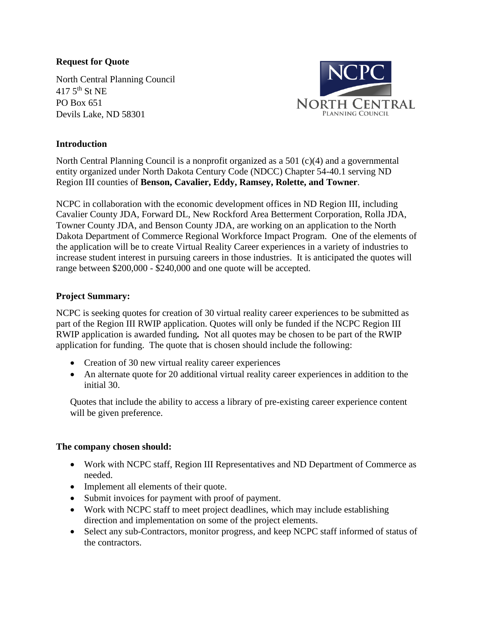### **Request for Quote**

North Central Planning Council  $417.5$ <sup>th</sup> St NE PO Box 651 Devils Lake, ND 58301



#### **Introduction**

North Central Planning Council is a nonprofit organized as a 501  $(c)(4)$  and a governmental entity organized under North Dakota Century Code (NDCC) Chapter 54-40.1 serving ND Region III counties of **Benson, Cavalier, Eddy, Ramsey, Rolette, and Towner**.

NCPC in collaboration with the economic development offices in ND Region III, including Cavalier County JDA, Forward DL, New Rockford Area Betterment Corporation, Rolla JDA, Towner County JDA, and Benson County JDA, are working on an application to the North Dakota Department of Commerce Regional Workforce Impact Program. One of the elements of the application will be to create Virtual Reality Career experiences in a variety of industries to increase student interest in pursuing careers in those industries. It is anticipated the quotes will range between \$200,000 - \$240,000 and one quote will be accepted.

#### **Project Summary:**

NCPC is seeking quotes for creation of 30 virtual reality career experiences to be submitted as part of the Region III RWIP application. Quotes will only be funded if the NCPC Region III RWIP application is awarded funding*.* Not all quotes may be chosen to be part of the RWIP application for funding. The quote that is chosen should include the following:

- Creation of 30 new virtual reality career experiences
- An alternate quote for 20 additional virtual reality career experiences in addition to the initial 30.

Quotes that include the ability to access a library of pre-existing career experience content will be given preference.

#### **The company chosen should:**

- Work with NCPC staff, Region III Representatives and ND Department of Commerce as needed.
- Implement all elements of their quote.
- Submit invoices for payment with proof of payment.
- Work with NCPC staff to meet project deadlines, which may include establishing direction and implementation on some of the project elements.
- Select any sub-Contractors, monitor progress, and keep NCPC staff informed of status of the contractors.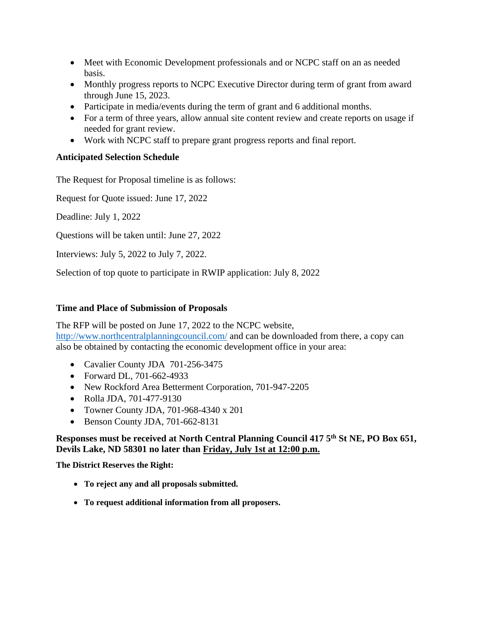- Meet with Economic Development professionals and or NCPC staff on an as needed basis.
- Monthly progress reports to NCPC Executive Director during term of grant from award through June 15, 2023.
- Participate in media/events during the term of grant and 6 additional months.
- For a term of three years, allow annual site content review and create reports on usage if needed for grant review.
- Work with NCPC staff to prepare grant progress reports and final report.

# **Anticipated Selection Schedule**

The Request for Proposal timeline is as follows:

Request for Quote issued: June 17, 2022

Deadline: July 1, 2022

Questions will be taken until: June 27, 2022

Interviews: July 5, 2022 to July 7, 2022.

Selection of top quote to participate in RWIP application: July 8, 2022

### **Time and Place of Submission of Proposals**

The RFP will be posted on June 17, 2022 to the NCPC website, <http://www.northcentralplanningcouncil.com/> and can be downloaded from there, a copy can also be obtained by contacting the economic development office in your area:

- Cavalier County JDA 701-256-3475
- Forward DL, 701-662-4933
- New Rockford Area Betterment Corporation, 701-947-2205
- Rolla JDA, 701-477-9130
- Towner County JDA, 701-968-4340 x 201
- Benson County JDA, 701-662-8131

### **Responses must be received at North Central Planning Council 417 5th St NE, PO Box 651, Devils Lake, ND 58301 no later than Friday, July 1st at 12:00 p.m.**

**The District Reserves the Right:**

- **To reject any and all proposals submitted.**
- **To request additional information from all proposers.**